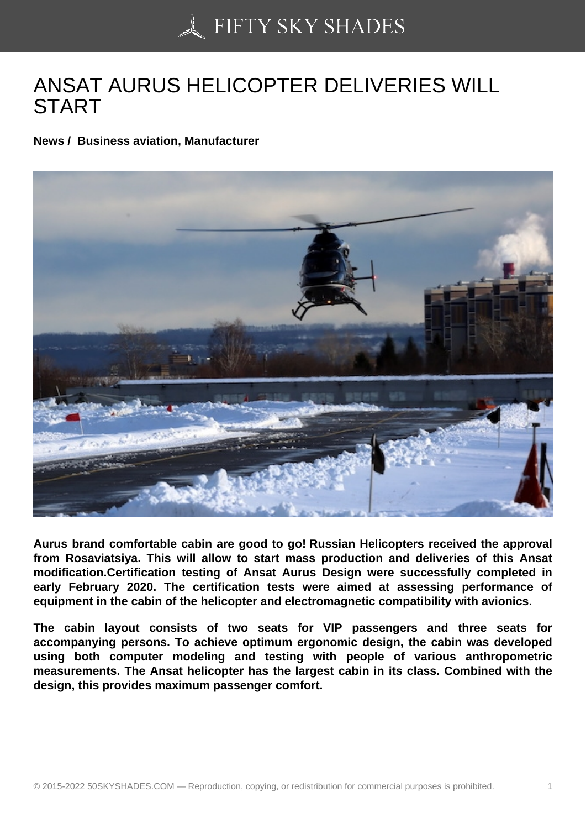## [ANSAT AURUS HELIC](https://50skyshades.com)OPTER DELIVERIES WILL **START**

News / Business aviation, Manufacturer

Aurus brand comfortable cabin are good to go! Russian Helicopters received the approval from Rosaviatsiya. This will allow to start mass production and deliveries of this Ansat modification.Certification testing of Ansat Aurus Design were successfully completed in early February 2020. The certification tests were aimed at assessing performance of equipment in the cabin of the helicopter and electromagnetic compatibility with avionics.

The cabin layout consists of two seats for VIP passengers and three seats for accompanying persons. To achieve optimum ergonomic design, the cabin was developed using both computer modeling and testing with people of various anthropometric measurements. The Ansat helicopter has the largest cabin in its class. Combined with the design, this provides maximum passenger comfort.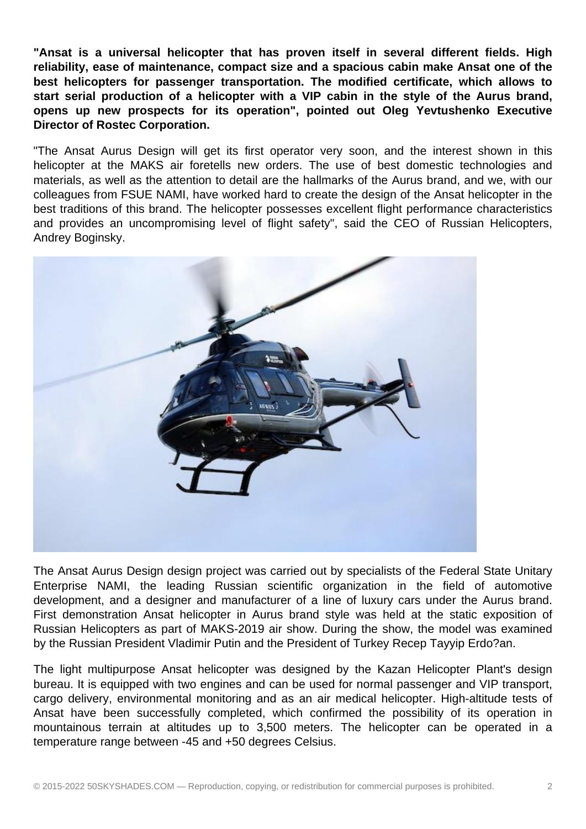**"Ansat is a universal helicopter that has proven itself in several different fields. High reliability, ease of maintenance, compact size and a spacious cabin make Ansat one of the best helicopters for passenger transportation. The modified certificate, which allows to start serial production of a helicopter with a VIP cabin in the style of the Aurus brand, opens up new prospects for its operation", pointed out Oleg Yevtushenko Executive Director of Rostec Corporation.**

"The Ansat Aurus Design will get its first operator very soon, and the interest shown in this helicopter at the MAKS air foretells new orders. The use of best domestic technologies and materials, as well as the attention to detail are the hallmarks of the Aurus brand, and we, with our colleagues from FSUE NAMI, have worked hard to create the design of the Ansat helicopter in the best traditions of this brand. The helicopter possesses excellent flight performance characteristics and provides an uncompromising level of flight safety", said the CEO of Russian Helicopters, Andrey Boginsky.



The Ansat Aurus Design design project was carried out by specialists of the Federal State Unitary Enterprise NAMI, the leading Russian scientific organization in the field of automotive development, and a designer and manufacturer of a line of luxury cars under the Aurus brand. First demonstration Ansat helicopter in Aurus brand style was held at the static exposition of Russian Helicopters as part of MAKS-2019 air show. During the show, the model was examined by the Russian President Vladimir Putin and the President of Turkey Recep Tayyip Erdo?an.

The light multipurpose Ansat helicopter was designed by the Kazan Helicopter Plant's design bureau. It is equipped with two engines and can be used for normal passenger and VIP transport, cargo delivery, environmental monitoring and as an air medical helicopter. High-altitude tests of Ansat have been successfully completed, which confirmed the possibility of its operation in mountainous terrain at altitudes up to 3,500 meters. The helicopter can be operated in a temperature range between -45 and +50 degrees Celsius.